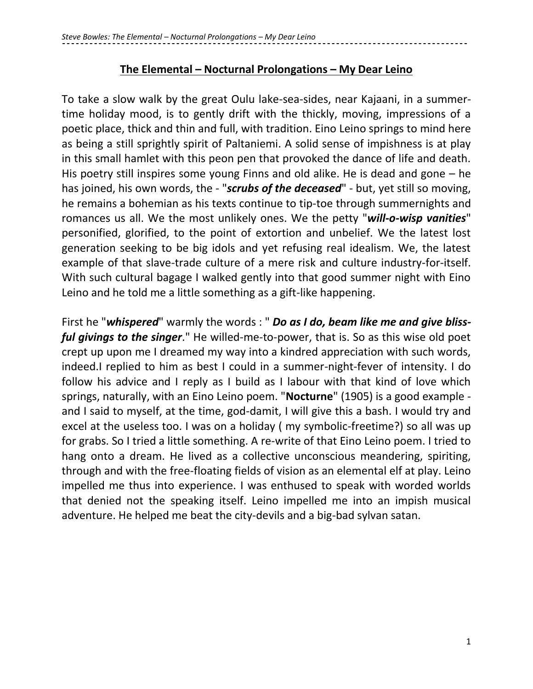## **The Elemental – Nocturnal Prolongations – My Dear Leino**

To take a slow walk by the great Oulu lake-sea-sides, near Kajaani, in a summertime holiday mood, is to gently drift with the thickly, moving, impressions of a poetic place, thick and thin and full, with tradition. Eino Leino springs to mind here as being a still sprightly spirit of Paltaniemi. A solid sense of impishness is at play in this small hamlet with this peon pen that provoked the dance of life and death. His poetry still inspires some young Finns and old alike. He is dead and gone – he has joined, his own words, the - "*scrubs of the deceased*" - but, yet still so moving, he remains a bohemian as his texts continue to tip-toe through summernights and romances us all. We the most unlikely ones. We the petty "*will-o-wisp vanities*" personified, glorified, to the point of extortion and unbelief. We the latest lost generation seeking to be big idols and yet refusing real idealism. We, the latest example of that slave-trade culture of a mere risk and culture industry-for-itself. With such cultural bagage I walked gently into that good summer night with Eino Leino and he told me a little something as a gift-like happening.

First he "*whispered*" warmly the words : " *Do as I do, beam like me and give blissful givings to the singer*." He willed-me-to-power, that is. So as this wise old poet crept up upon me I dreamed my way into a kindred appreciation with such words, indeed.I replied to him as best I could in a summer-night-fever of intensity. I do follow his advice and I reply as I build as I labour with that kind of love which springs, naturally, with an Eino Leino poem. "**Nocturne**" (1905) is a good example and I said to myself, at the time, god-damit, I will give this a bash. I would try and excel at the useless too. I was on a holiday ( my symbolic-freetime?) so all was up for grabs. So I tried a little something. A re-write of that Eino Leino poem. I tried to hang onto a dream. He lived as a collective unconscious meandering, spiriting, through and with the free-floating fields of vision as an elemental elf at play. Leino impelled me thus into experience. I was enthused to speak with worded worlds that denied not the speaking itself. Leino impelled me into an impish musical adventure. He helped me beat the city-devils and a big-bad sylvan satan.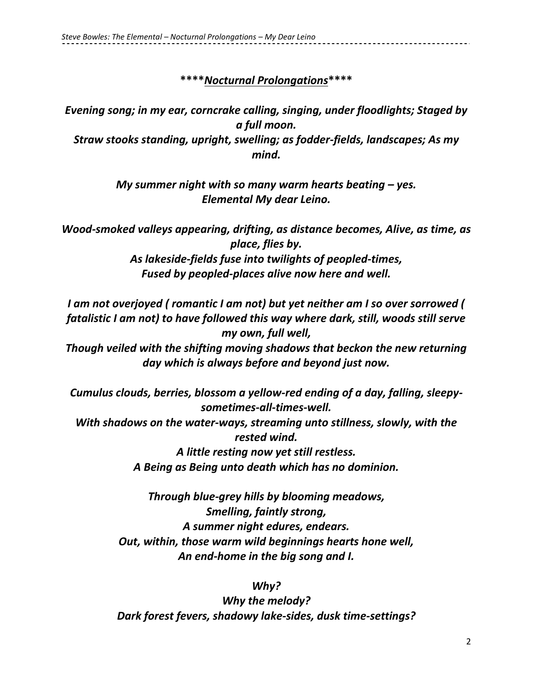## **\*\*\*\****Nocturnal Prolongations***\*\*\*\***

*Evening song; in my ear, corncrake calling, singing, under floodlights; Staged by a full moon. Straw stooks standing, upright, swelling; as fodder-fields, landscapes; As my mind.*

> *My summer night with so many warm hearts beating – yes. Elemental My dear Leino.*

*Wood-smoked valleys appearing, drifting, as distance becomes, Alive, as time, as place, flies by. As lakeside-fields fuse into twilights of peopled-times, Fused by peopled-places alive now here and well.*

*I am not overjoyed ( romantic I am not) but yet neither am I so over sorrowed ( fatalistic I am not) to have followed this way where dark, still, woods still serve my own, full well,*

*Though veiled with the shifting moving shadows that beckon the new returning day which is always before and beyond just now.*

*Cumulus clouds, berries, blossom a yellow-red ending of a day, falling, sleepysometimes-all-times-well.*

*With shadows on the water-ways, streaming unto stillness, slowly, with the rested wind.*

> *A little resting now yet still restless. A Being as Being unto death which has no dominion.*

*Through blue-grey hills by blooming meadows, Smelling, faintly strong, A summer night edures, endears. Out, within, those warm wild beginnings hearts hone well, An end-home in the big song and I.*

#### *Why?*

*Why the melody? Dark forest fevers, shadowy lake-sides, dusk time-settings?*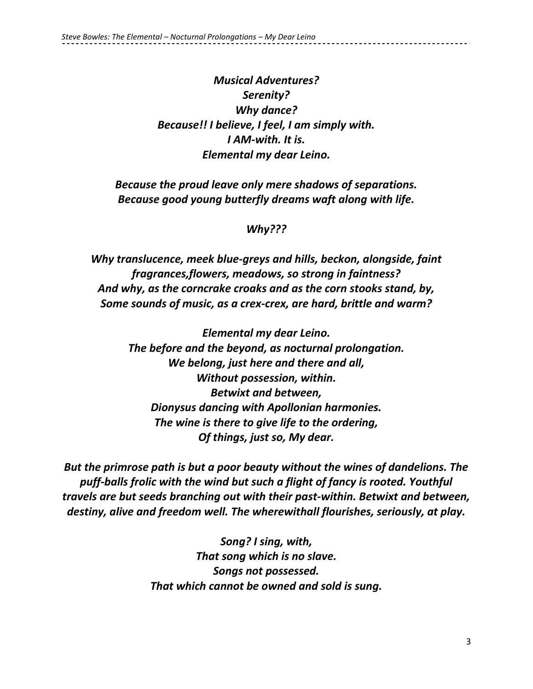# *Musical Adventures? Serenity? Why dance? Because!! I believe, I feel, I am simply with. I AM-with. It is. Elemental my dear Leino.*

*Because the proud leave only mere shadows of separations. Because good young butterfly dreams waft along with life.*

### *Why???*

*Why translucence, meek blue-greys and hills, beckon, alongside, faint fragrances,flowers, meadows, so strong in faintness? And why, as the corncrake croaks and as the corn stooks stand, by, Some sounds of music, as a crex-crex, are hard, brittle and warm?*

> *Elemental my dear Leino. The before and the beyond, as nocturnal prolongation. We belong, just here and there and all, Without possession, within. Betwixt and between, Dionysus dancing with Apollonian harmonies. The wine is there to give life to the ordering, Of things, just so, My dear.*

*But the primrose path is but a poor beauty without the wines of dandelions. The puff-balls frolic with the wind but such a flight of fancy is rooted. Youthful travels are but seeds branching out with their past-within. Betwixt and between, destiny, alive and freedom well. The wherewithall flourishes, seriously, at play.*

> *Song? I sing, with, That song which is no slave. Songs not possessed. That which cannot be owned and sold is sung.*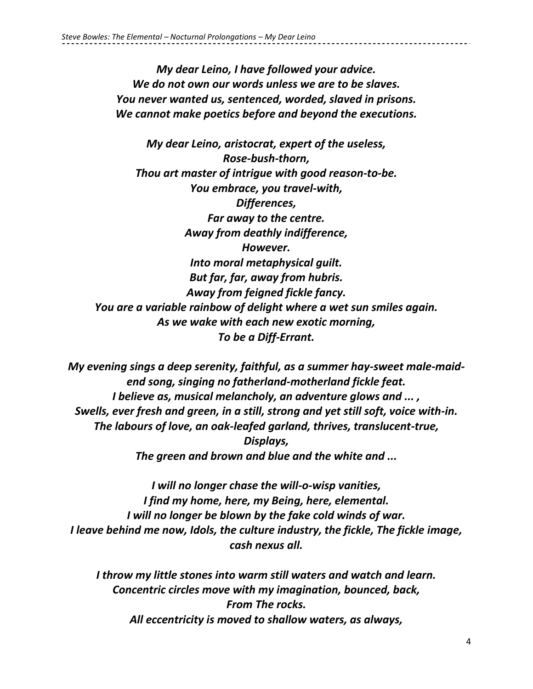*My dear Leino, I have followed your advice. We do not own our words unless we are to be slaves. You never wanted us, sentenced, worded, slaved in prisons. We cannot make poetics before and beyond the executions.*

*My dear Leino, aristocrat, expert of the useless, Rose-bush-thorn, Thou art master of intrigue with good reason-to-be. You embrace, you travel-with, Differences, Far away to the centre. Away from deathly indifference, However. Into moral metaphysical guilt. But far, far, away from hubris. Away from feigned fickle fancy. You are a variable rainbow of delight where a wet sun smiles again. As we wake with each new exotic morning, To be a Diff-Errant.*

*My evening sings a deep serenity, faithful, as a summer hay-sweet male-maidend song, singing no fatherland-motherland fickle feat. I believe as, musical melancholy, an adventure glows and ... , Swells, ever fresh and green, in a still, strong and yet still soft, voice with-in. The labours of love, an oak-leafed garland, thrives, translucent-true, Displays, The green and brown and blue and the white and ...*

*I will no longer chase the will-o-wisp vanities, I find my home, here, my Being, here, elemental. I will no longer be blown by the fake cold winds of war. I leave behind me now, Idols, the culture industry, the fickle, The fickle image, cash nexus all.*

*I throw my little stones into warm still waters and watch and learn. Concentric circles move with my imagination, bounced, back, From The rocks. All eccentricity is moved to shallow waters, as always,*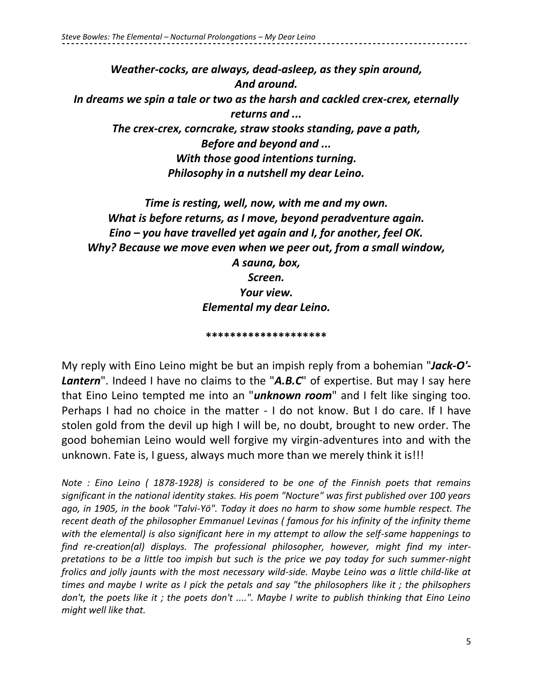*Weather-cocks, are always, dead-asleep, as they spin around, And around. In dreams we spin a tale or two as the harsh and cackled crex-crex, eternally returns and ... The crex-crex, corncrake, straw stooks standing, pave a path, Before and beyond and ... With those good intentions turning. Philosophy in a nutshell my dear Leino.*

*Time is resting, well, now, with me and my own. What is before returns, as I move, beyond peradventure again. Eino – you have travelled yet again and I, for another, feel OK. Why? Because we move even when we peer out, from a small window, A sauna, box, Screen. Your view. Elemental my dear Leino.*

**\*\*\*\*\*\*\*\*\*\*\*\*\*\*\*\*\*\*\*\***

My reply with Eino Leino might be but an impish reply from a bohemian "*Jack-O'-* **Lantern**". Indeed I have no claims to the "A.B.C" of expertise. But may I say here that Eino Leino tempted me into an "*unknown room*" and I felt like singing too. Perhaps I had no choice in the matter - I do not know. But I do care. If I have stolen gold from the devil up high I will be, no doubt, brought to new order. The good bohemian Leino would well forgive my virgin-adventures into and with the unknown. Fate is, I guess, always much more than we merely think it is!!!

*Note : Eino Leino ( 1878-1928) is considered to be one of the Finnish poets that remains significant in the national identity stakes. His poem "Nocture" was first published over 100 years ago, in 1905, in the book "Talvi-Yö". Today it does no harm to show some humble respect. The recent death of the philosopher Emmanuel Levinas ( famous for his infinity of the infinity theme with the elemental) is also significant here in my attempt to allow the self-same happenings to find re-creation(al) displays. The professional philosopher, however, might find my interpretations to be a little too impish but such is the price we pay today for such summer-night frolics and jolly jaunts with the most necessary wild-side. Maybe Leino was a little child-like at times and maybe I write as I pick the petals and say "the philosophers like it ; the philsophers don't, the poets like it ; the poets don't ....". Maybe I write to publish thinking that Eino Leino might well like that.*